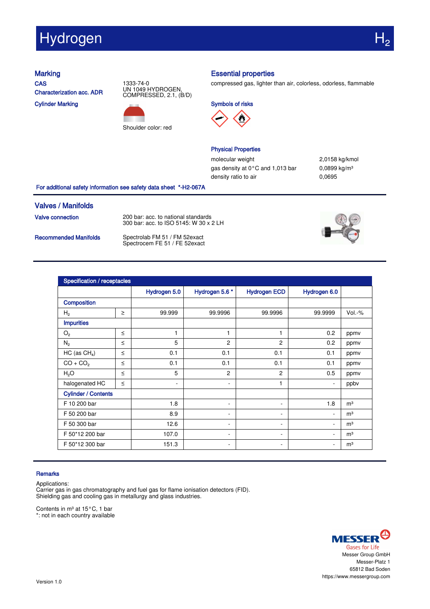# Hydrogen

**CAS** Characterization acc. ADR

Cylinder Marking



Shoulder color: red

## Marking **Essential properties**

compressed gas, lighter than air, colorless, odorless, flammable





### Physical Properties

molecular weight 2,0158 kg/kmol gas density at 0°C and 1,013 bar 0,0899 kg/m<sup>3</sup> density ratio to air 0,0695

For additional safety information see safety data sheet \*-H2-067A

### Valves / Manifolds

Valve connection 200 bar: acc. to national standards 300 bar: acc. to ISO 5145: W 30 x 2 LH

Recommended Manifolds Spectrolab FM 51 / FM 52exact<br>Spectrocem FE 51 / FE 52exact



| Specification / receptacles |        |                          |                          |                     |                          |                |  |  |
|-----------------------------|--------|--------------------------|--------------------------|---------------------|--------------------------|----------------|--|--|
|                             |        | Hydrogen 5.0             | Hydrogen 5.6 *           | <b>Hydrogen ECD</b> | Hydrogen 6.0             |                |  |  |
| Composition                 |        |                          |                          |                     |                          |                |  |  |
| H <sub>2</sub>              | $\geq$ | 99.999                   | 99.9996                  | 99.9996             | 99.9999                  | $Vol.-%$       |  |  |
| <b>Impurities</b>           |        |                          |                          |                     |                          |                |  |  |
| O <sub>2</sub>              | $\leq$ | 1                        | $\mathbf{1}$             | 1                   | 0.2                      | ppmv           |  |  |
| $N_2$                       | $\leq$ | 5                        | $\overline{c}$           | $\overline{c}$      | 0.2                      | ppmv           |  |  |
| HC (as $CH4$ )              | $\leq$ | 0.1                      | 0.1                      | 0.1                 | 0.1                      | ppmv           |  |  |
| $CO + CO2$                  | $\leq$ | 0.1                      | 0.1                      | 0.1                 | 0.1                      | ppmv           |  |  |
| H <sub>2</sub> O            | $\leq$ | 5                        | $\overline{2}$           | $\overline{2}$      | 0.5                      | ppmv           |  |  |
| halogenated HC              | $\leq$ | $\overline{\phantom{a}}$ | $\sim$                   | 1                   | $\overline{\phantom{a}}$ | ppbv           |  |  |
| <b>Cylinder / Contents</b>  |        |                          |                          |                     |                          |                |  |  |
| F 10 200 bar                |        | 1.8                      | ۰.                       | Ξ.                  | 1.8                      | m <sup>3</sup> |  |  |
| F 50 200 bar                |        | 8.9                      | ۰.                       | ۰                   | ٠                        | m <sup>3</sup> |  |  |
| F 50 300 bar                |        | 12.6                     | $\overline{\phantom{a}}$ | ۰                   | $\overline{\phantom{a}}$ | m <sup>3</sup> |  |  |
| F 50*12 200 bar             |        | 107.0                    | $\overline{\phantom{a}}$ | Ξ.                  |                          | m <sup>3</sup> |  |  |
| F 50*12 300 bar             |        | 151.3                    | ٠                        | ۰                   | $\overline{\phantom{a}}$ | m <sup>3</sup> |  |  |

### Remarks

Applications:

Carrier gas in gas chromatography and fuel gas for flame ionisation detectors (FID). Shielding gas and cooling gas in metallurgy and glass industries.

Contents in m<sup>3</sup> at 15 $^{\circ}$ C, 1 bar

\*: not in each country available